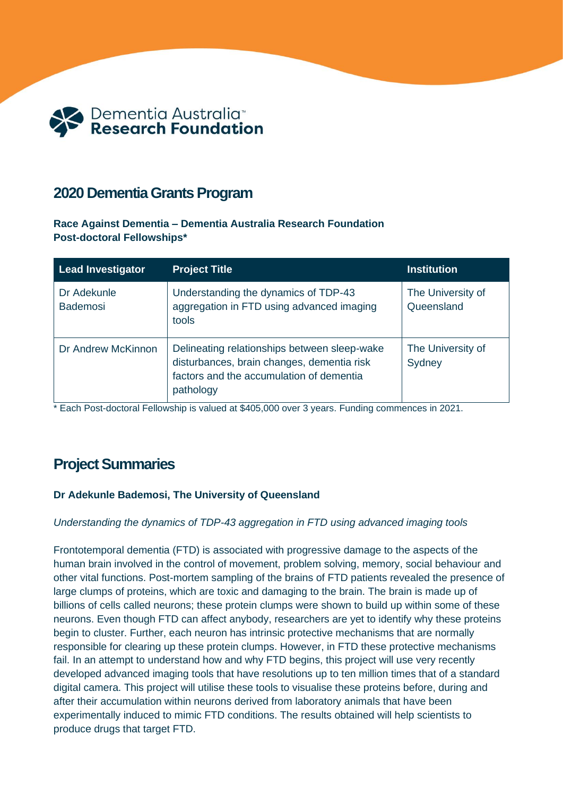

# **2020 Dementia Grants Program**

**Race Against Dementia – Dementia Australia Research Foundation Post-doctoral Fellowships\***

| <b>Lead Investigator</b>       | <b>Project Title</b>                                                                                                                                | <b>Institution</b>              |
|--------------------------------|-----------------------------------------------------------------------------------------------------------------------------------------------------|---------------------------------|
| Dr Adekunle<br><b>Bademosi</b> | Understanding the dynamics of TDP-43<br>aggregation in FTD using advanced imaging<br>tools                                                          | The University of<br>Queensland |
| Dr Andrew McKinnon             | Delineating relationships between sleep-wake<br>disturbances, brain changes, dementia risk<br>factors and the accumulation of dementia<br>pathology | The University of<br>Sydney     |

\* Each Post-doctoral Fellowship is valued at \$405,000 over 3 years. Funding commences in 2021.

# **Project Summaries**

## **Dr Adekunle Bademosi, The University of Queensland**

#### *Understanding the dynamics of TDP-43 aggregation in FTD using advanced imaging tools*

Frontotemporal dementia (FTD) is associated with progressive damage to the aspects of the human brain involved in the control of movement, problem solving, memory, social behaviour and other vital functions. Post-mortem sampling of the brains of FTD patients revealed the presence of large clumps of proteins, which are toxic and damaging to the brain. The brain is made up of billions of cells called neurons; these protein clumps were shown to build up within some of these neurons. Even though FTD can affect anybody, researchers are yet to identify why these proteins begin to cluster. Further, each neuron has intrinsic protective mechanisms that are normally responsible for clearing up these protein clumps. However, in FTD these protective mechanisms fail. In an attempt to understand how and why FTD begins, this project will use very recently developed advanced imaging tools that have resolutions up to ten million times that of a standard digital camera. This project will utilise these tools to visualise these proteins before, during and after their accumulation within neurons derived from laboratory animals that have been experimentally induced to mimic FTD conditions. The results obtained will help scientists to produce drugs that target FTD.